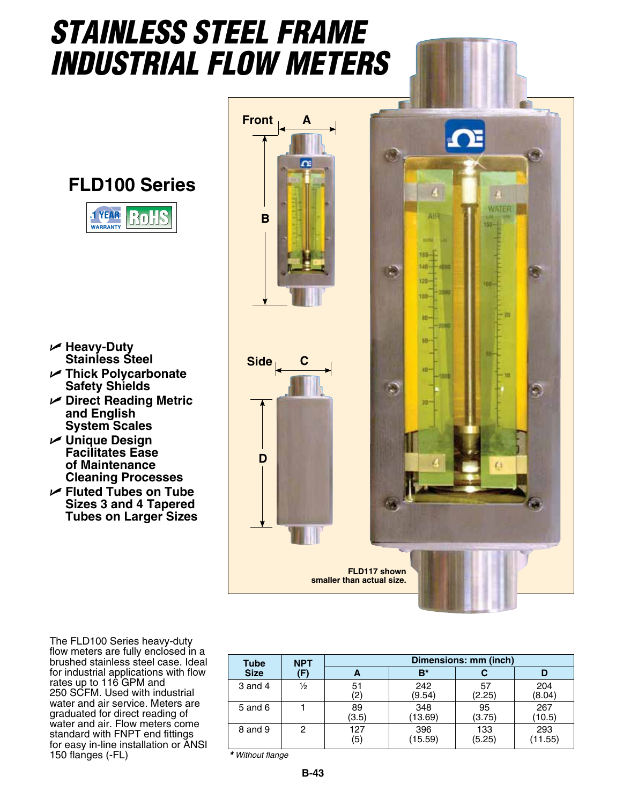## *Stainless Steel Frame Industrial Flow meters*

**FLD100 Series**



- U **Heavy-Duty Stainless Steel**
- U **Thick Polycarbonate Safety Shields**
- U **Direct Reading Metric and English System Scales**
- U **Unique Design Facilitates Ease of Maintenance Cleaning Processes**
- U **Fluted Tubes on Tube Sizes 3 and 4 Tapered Tubes on Larger Sizes**

The FLD100 Series heavy-duty flow meters are fully enclosed in a brushed stainless steel case. Ideal for industrial applications with flow rates up to 116 GPM and 250 SCFM. Used with industrial water and air service. Meters are graduated for direct reading of water and air. Flow meters come standard with FNPT end fittings for easy in-line installation or ANSI 150 flanges (-FL)



| <b>Tube</b><br><b>Size</b> | <b>NPT</b><br>(F) | Dimensions: mm (inch) |                |               |                |  |  |
|----------------------------|-------------------|-----------------------|----------------|---------------|----------------|--|--|
|                            |                   |                       | B*             |               | D              |  |  |
| 3 and 4                    | $\frac{1}{2}$     | 51<br>(2)             | 242<br>(9.54)  | 57<br>(2.25)  | 204<br>(8.04)  |  |  |
| $5$ and $6$                |                   | 89<br>(3.5)           | 348<br>(13.69) | 95<br>(3.75)  | 267<br>(10.5)  |  |  |
| 8 and 9                    | 2                 | 127<br>(5)            | 396<br>(15.59) | 133<br>(5.25) | 293<br>(11.55) |  |  |

*\* Without flange*